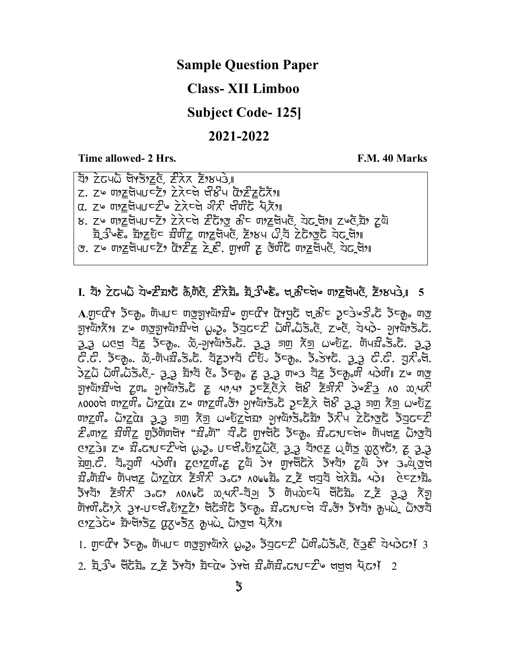### Sample Question Paper

### Class- XII Limboo

Subject Code- 125]

### 2021-2022

Time allowed- 2 Hrs. Time allowed- 2 Hrs.

 $\overline{z}$ ) zdub Gržeč zka žykus  $Z.$   $Z$  $\circ$   $\eta$  $2\xi$ ק $\eta$ שכלו $Z$ ללכלל $\eta$ .  $Z$ לכלל $\eta$  $\alpha$ , zu mzัตเบ $\epsilon$ zu zīca art ant aī $\bar{x}$ u ਲ. Zu णाट पेपा पटें? टेरेप्ले टेंटें उस के पाट पेपले, येट जा। Zue या ट्रवे  $\overline{z}_1$ ਤੇ  $\overline{\epsilon}$   $z$   $\overline{z}$   $\overline{z}$   $\overline{z}$   $\overline{w}$   $\overline{z}$   $\overline{z}$   $\overline{z}$   $\overline{z}$   $\overline{z}$   $\overline{z}$   $\overline{z}$   $\overline{z}$   $\overline{z}$   $\overline{z}$   $\overline{z}$   $\overline{z}$   $\overline{z}$   $\overline{z}$   $\overline{z}$   $\overline{z}$   $\overline{z}$   $\overline{z}$  $\sigma$ . z $\sim$  ਗ $z$ ਬੋਪ $U$ ⊂ $\bar{Z}$   $z$   $\bar{G}$   $\bar{Z}$   $\bar{Z}$   $\bar{Z}$   $\bar{Z}$ . ਗੁਆਹੀ  $z$  ਰੌਹ $\bar{Z}$ ਚੋਂ ਗ $z$  ਰੌਹ $\bar{Z}$ ਗੇ)

### $I.$   $\bar{z}$ )  $\bar{z}$ ਟਪ $\bar{\omega}$  ਧੋ $\simeq$   $\bar{z}$  a $\bar{\omega}$  ਨੋ $\bar{z}$ ,  $\bar{z}$ ,  $\bar{z}$   $\bar{z}$ ,  $\bar{z}$ ,  $\bar{z}$ ,  $\bar{z}$ ,  $\bar{z}$ ,  $\bar{z}$ ,  $\bar{z}$ ,  $\bar{z}$ ,  $\bar{z}$ ,  $\bar{z}$ ,  $\bar{z}$ ,  $\bar{z}$ ,  $\bar{z}$ ,  $\bar{z}$ ,  $\bar{z}$ ,  $\$

 $\Lambda$ .ਗੁਟ $\vec{G}$ ੧ ਤੋਟਨੂ, ਗੋਪ $U$ ਟ ਗਭੂਗ੍ਰਾਈਂ) ਸਿੰਘ ਗੁਟ $\vec{G}$ ੧ ਕਿਸੂਨੋਂ ਖ੍ਰਨੂੰਟ ਤੋਟਨੂੰ ਤੋਟਨੂ, ਗਭੁ ਜੁਖਬੋਲੈਨਿਅ zω ਗਕੁਜੁਖਬੋਲੇ $\tilde{H}$ ਪੇਚੇ  $\omega$ ஓ. ਡੋਧੁਫ $\epsilon$ ਟੇ ධੋਯੀ $\epsilon$ ධිਤ $\epsilon$ ੋਂ, zωcੈ, ਧੋਯ $\tilde{\epsilon}$ - ਹੁਖਬੋਲੈਂਤ $\tilde{\epsilon}$ . tLTtL kxn- dfg- ofSyLIV mfC\_rLDef]bfIafV tLTtL h;- Ffh- kGwfs-V ;fKclIbfIafV tLTtL  $\vec{c}.\vec{c}$ .  $\vec{b}$ रकृ..  $\tilde{w}$ -णेपय्री केंद्र. येटूउभये  $\vec{c}$ रि, ईच्कृ.. ई.उभटे. यू.टे. यू.री.पे.  $\frac{1}{2}$ ਨੁੱਧ ਨੌਯੀ ਨੌਤਿ ਇੱਸਾ ਤੁਰੀਨ ਹੈ ਕਿ ਸਿੱਧਾ ਹੈ ਕਿ ਤੋੜ ਹਨ ਕਿ ਕੋਸ਼ੂ ਹੋਵਾਂ ਕੀਤੀ। ਸਮਾਗਤ নুদ্দ্রীয় দিবি, বুলা বুদিবাৰী বিদ্যালয় বিদ্যালয় বিদ্যালয় বিদ্যালয় বিদ্যালয় কৰিবলৈ বিদ্যালয় কৰিবলৈ স্থা  $\overline{\lambda}$ 000g ຫາzຫີ. ພັງzαဲ။ zu ຫງzຫີ. ອັງ ນຸຫັງຮັງຂັ ຈະຊີ ອັງ ອີລອີ ສັງ ພະຍັz  $\pi$ ) ( $\pi$   $\bar{\pi}$   $\bar{\pi}$   $\bar{\pi}$   $\bar{\pi}$   $\bar{\pi}$   $\bar{\pi}$   $\bar{\pi}$   $\bar{\pi}$   $\bar{\pi}$   $\bar{\pi}$   $\bar{\pi}$   $\bar{\pi}$   $\bar{\pi}$   $\bar{\pi}$   $\bar{\pi}$   $\bar{\pi}$   $\bar{\pi}$   $\bar{\pi}$   $\bar{\pi}$   $\bar{\pi}$   $\bar{\pi}$   $\bar{\pi}$   $\bar{\pi}$   $\bar{\pi}$   $\bar{\pi}$   $\bar{\pi}$   $\vec{z}$  $\vec{v}$  and  $\vec{z}$  or  $\vec{z}$  or  $\vec{v}$  and  $\vec{z}$  and  $\vec{z}$  are  $\vec{z}$  in  $\vec{z}$  and  $\vec{z}$  and  $\vec{z}$  $x_2$   $x_1$   $x_2$   $x_3$   $x_4$   $x_5$   $x_6$   $x_7$   $x_8$   $x_9$   $x_1$   $x_2$   $x_3$   $x_4$   $x_5$   $x_6$   $x_7$   $x_8$   $x_7$   $x_8$   $x_9$   $x_1$ <u>ইण</u>.ढे. য<sub>়</sub>ত্ৰতী এইলী zeগzলী, za ইম জাংঘঁটিই ইপ্যা যুষ ক্ৰী ৰাজ্য  $\vec{x}$ សំរីម ប៊ុមៅ ស្រីយក ស្រីក្រុង ក្រុង របស់ ស្រី នៅក្នុង ក្នុង ក្នុង ក្នុង ក្នុង  $\overline{3}$ পযੋগ  $\overline{2}$ লী $\overline{3}$  3. কেপ্ট ম $\overline{3}$  আ $\overline{4}$  , বিল  $\overline{2}$  আ $\overline{2}$  না $\overline{2}$   $\overline{3}$  ,  $\overline{4}$ णेशानि, अपराज्य करने के स्वीक के स्वीक करने के स्वीक करने पर रहिकों के अर्थ के अर्थ के अर्थ के अर्थ  $x_1x_2y_3z_4$  and  $x_4y_5z_7$   $\bar{x}_5x_8$   $\bar{x}_6y_3z_4$ 

 $1.$   $\eta$ ਟ $\alpha$ ̃ץ  $\bar{x}$ ਟ $\bar{p}$ ,  $\bar{p}$ uu $\epsilon$   $\eta$ oz $\bar{p}$ yù  $\bar{x}$ ,  $\omega$ z,  $\bar{z}$   $\bar{z}$   $\bar{z}$   $\bar{z}$   $\bar{z}$   $\bar{z}$   $\gamma$   $\bar{z}$   $\bar{z}$   $\bar{z}$   $\bar{z}$   $\bar{z}$   $\bar{z}$   $\bar{z}$   $\bar{z}$   $\bar{z}$   $\bar{z}$   $\bar{z}$   $\$ 

 $2.$  য়ু ব্ৰীড ঘঁটয়ৈ  $Z$  ই ইপ্বীগ য়ীতকৈ ইপল য়ীক্টারী বেগতে বিদ্যা বিদ্যোগি  $2$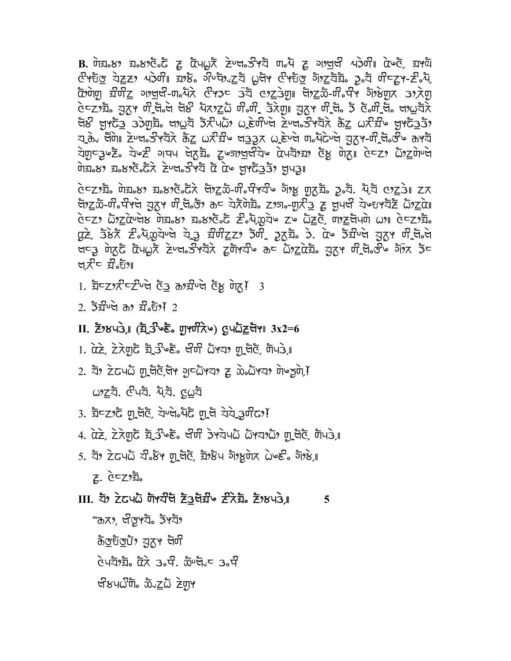$B.$  072.89 ঘ.89 উ.ট ব্লু টেম $\omega$ ত বৈখত স্বীপত্ব অন্দ ব্লু নাগুল মই আৰু ব্লু আৰু ঔੱਖਹੁ<u>ੌਰ</u> ਕੋ<u>ਟ</u>ਣਾ ਪਤੇਯੀ। ਬਾਲੌਂ ਕੀੰਪਬੈਆਨੂਬ ਲੇਖਾ ਉੱਖਹੁੰਰੂ ਕੋ<u>ਅਨ</u>ਬੈਂਡ ਤੁਫ਼ੈ ਯੀਵਨ੍ਰਾ-ਟੈਂਕੈਂ,  $\bar{\alpha}$ ગેणु य़ैणेट गाजुर्से-ण $\bar{\lambda}$ दे स्थिर उँदै एंट्रेगु साथ्ट के-णे $\bar{\lambda}$ णे गाउँपुर 32 सेण <u>હેન્ટ, ফ্ৰি, য়ূৰে লুই, আৰু মুখত আৰু অন্যতি বুৰি আৰু অন্যত আৰু অন্যত আৰু বিভিন্ন স্থি</u> ซีซ์ ตูหรั่ว ววัตุฆั้ง ตุณสั วั $\mathcal{R}$ ันผิว ผลัยที่บุ๊ต สิบต่งวิหลั่ว ล้อ ผ $\mathcal{R}$ มีง ตูหรั่ววัว যুক্ত ঘঁটা∥ ≥ৈ়খ∞ত পহাঁ কৰ এই ইতি খত্ৰ আৰু অত্যুত্ত প্ৰতিত্ব আৰু ইতিত্ব কাৰ্য ติมี ซุน สูง สังค์ อันซี สรี สรี สรี สรรค์ ซุน

 $c \in \mathbb{Z}$ গ্রহী সৈয় $\cdot$ ৪স্ট য় $\cdot \in \mathbb{Z}$  উগ্রহী নীগু সেই সুমী নীগু মুক্তী দিয়া দেয উগ্<u>দ</u>ঠ-লী<sub>°</sub> বীপ্প ব্যুক্ত লী বি উগ কৰ বাইটায় zালা-লাই ভ্ৰান্ত বি ভ্ৰাণ্ড বিভিন্ন টিগ্দুলৈ gz, 53x 2.4,020g à 3 xofzz, 50, 3xi. 3. du 5xug axy of ad ਖ਼⊂ৣ টা⊼ুুুুু টে়ুুুুৱুই দিখ∿ত দুই দুই দি বুলি বুলি কে বা বুলি বুলি কৰি বুল ਖ $\vec{x}$ ਟ ਬੋੰਡਿੰਅ

1. ਬੈ $\epsilon$ z $\chi$ ਟ $\epsilon$ ਦੇ ਦੇ ਨੌਰ ਨਾਬੀ ਅਤੇ ਇੱਕ ਯੋਨ ਦਿੱ

 $2.5x + 3.5x + 2.5x + 2.5x + 3.5x + 3.5x + 3.5x + 3.5x + 3.5x + 3.5x + 3.5x + 3.5x + 3.5x + 3.5x + 3.5x + 3.5x + 3.5x + 3.5x + 3.5x + 3.5x + 3.5x + 3.5x + 3.5x + 3.5x + 3.5x + 3.5x + 3.5x + 3.5x + 3.5x + 3.5x + 3.5x + 3.5x + 3.5x + 3.5x + 3.5x + 3.5x + 3.5x$ 

### $\text{II.}$  Z $\text{3}$ Yu3 ( $\bar{z}$  3  $\circ \bar{\epsilon}$ , grund  $\chi$  $\sim$ ) gund  $\chi$

- 1. αੋਣੇ, ਟੇਨੇਗਟੈ ਬ੍ਰੇ ਤੇ ਪੈਣੇ ਖੇਰੀ ਨੌਮਕ ਗ੍ਰਥੋਟੋ, ਯੋਪਤੇ,
- 2. ឨ៝ፇ ŻႺჃႺᢆ ញ ថ្មីဇ័័ម្ដិ ១ E GYZ Z to GYZ n du En l
- 3. ਬੈਂ<sup>ਟ</sup>ਟਾਨੈਂ ਗ੍ਰਹਿੰਟੋ, ਕੇਪਚੇ ਪੈਨੈਂ ਗ੍ਰਹਿੰ ਕੇਕੇ 3 ਗੌਰ?!
- 4. αੋਣੇ, ਟੇਨੇਗੁਫੈ ਬ੍ਰੇਤੇ ਇੱੱਡ ਉੱਯਾ ਡੇਖਬੋਪਨੇ ਨੌਖਬਾਨੀ ਗ੍ਰਹਿੰਟ, ਯੋਪਤੇ,
- 5. ਬੋਂ ਟੇਟਪੁੰਪ ਕੀ ਡੇਂਮਾ ਗ੍ਰਹਿੰਟ, ਬੋਂ ਲੇਪ ਗੋਂ ਲਗੇਨ Wee ਗੋਂ ਲੇ,  $Z.$   $CZ2\overline{Z}$ .

#### III. যাঁ ਟੇਟਪਨੇ ਯੋਖਬੇ ਟੋਰੁਖਸ਼ੌ ਟੇਨੇਸ਼ ਟੋਲਪਤੇ, III. 5

"ক্তম, পৰতুপহীঃ ইপহী ক্টস্টস্তট্য ব্যুপে উৰ্দী ห้นส้งฆ้อ นั่ว 3. นี้. พ้นน้อ 3. นี Grund me muzh zur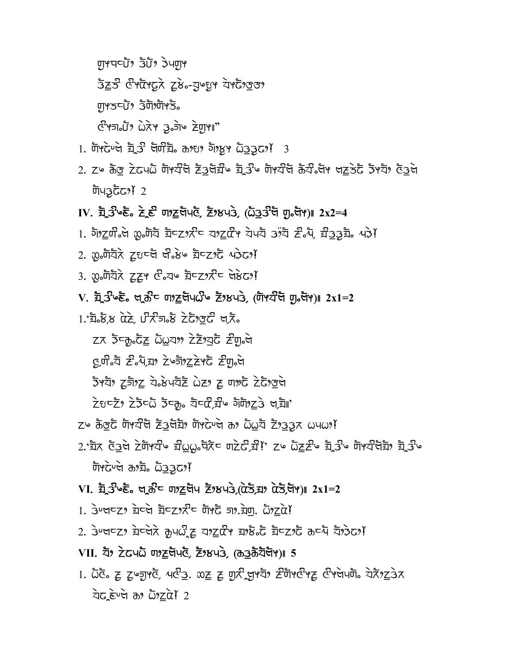חַוְיִם (שָׁבֿ יִשְׁרִיוּהַ 525 Granz ZB. Jugy ZYG939

**দৃ**প্ত⊂টিঃ ইটাঃদাঁপই。

<u>הודות שולה ההב</u> אלא לשורת הל

- 1. Tricued  $2^3$  aria, are direct assert 3
- 2. Z⊌ ਨੌਣ ਟੇਟ੫ධੋ ਯੋฯਬੀੱਥੇ ਟੇਤਖੋੜੀ⊌ ਬ੍ਰੇਤੀ⊌ ਯੋਖੀੱਖ ਨੋਬੀਂ ਅਰਣੇ ਕਰ ਕਾਬਾ ਫੇਤਖੇ ตินวูธิธา! 2
- $IV.$  ਬ੍ਰੇਤੇ  $\circ \xi \circ \xi \in \mathbb{C}$  ਗੁਣੂ ਚੋਪ ਨੂੰ, ਟੋਂ ਲਪਤੇ, ( $\ddot{\omega}$ ਤੂਤੇ ਚੋ ਗੁ $\circ \xi$ ਸ)॥ 2x2=4
- 
- 2.  $\omega_0$ णेयेरे टूधर्व पी. ४ ग्रेटर्ट 436?
- 3.  $\omega_{0}$ ਗੋਧੋਨੇ ਟੂਟ੍ਰਮ  $\mathcal{C}_{0}$ ਧ $\triangleright$  ਬੋਟੂਟ ਸੇਨੇ $\mathcal{C}_{0}$ ਮੱ
- $V.$  ਬ੍ਰੇਤੇ ਇੰ ਖਰੇਟ ਗਾਣੁਰੇਪਨੀ ਟੋਲਪਤੇ, (ਯਾਬੇਰੇ ਗੁਰੇਸਾ) 2x1=2
- 

ZK उँकुटेंट GOAT ZZ25 Zund

con. E.Azy ZumzZYC Zul.a

ইপহী *দু*লাগ<u>ৈ</u> যক্তি মৰ্ট হৈছে যে কাৰ্ট হৈটা

 $\overleftrightarrow{z}$ ยะ 2  $\overleftrightarrow{z}$  2  $\overleftrightarrow{z}$  5  $\overleftrightarrow{z}$  ,  $\overleftrightarrow{z}$   $\overleftrightarrow{z}$   $\overleftrightarrow{z}$   $\overleftrightarrow{z}$   $\overleftrightarrow{z}$   $\overleftrightarrow{z}$   $\overleftrightarrow{z}$   $\overleftrightarrow{z}$   $\overleftrightarrow{z}$   $\overleftrightarrow{z}$   $\overleftrightarrow{z}$   $\overleftrightarrow{z}$   $\overleftrightarrow{z}$   $\overleftrightarrow{z}$   $\overleftrightarrow{z}$   $\overleftrightarrow{z}$   $\overleftrightarrow{z}$   $\overleftrightarrow{z}$   $\overleftrightarrow{z}$   $\overleftrightarrow$ 

- $Z^{\omega}$   $\delta$   $3\sigma$   $\zeta$   $\delta$   $\zeta$   $\zeta$   $\zeta$   $\zeta$   $\zeta$   $\zeta$   $\zeta$   $\zeta$   $\zeta$   $\zeta$   $\zeta$   $\zeta$   $\zeta$   $\zeta$   $\zeta$   $\zeta$   $\zeta$   $\zeta$   $\zeta$   $\zeta$   $\zeta$   $\zeta$   $\zeta$   $\zeta$   $\zeta$   $\zeta$   $\zeta$   $\zeta$   $\zeta$   $\zeta$   $\zeta$   $\zeta$
- 2.'ਬੈਨ ਫੋਤੇਖ ਟੇਗੋਅਟੀ ਬੀoo ਧੋਨੈਂਟ ਗਟੇਟੀ,ਬੀ!' ਟ ਿਹੋਣਟੀ ਬ੍ਰੇਤੀ ਗੋਅਟੀਖੋਬੈਂ ਬ੍ਰੇਤੀ ਬ টাপট- টাই এই টাইটা

## $VI.$  ਬ੍ਰੇਤੇ  $e\bar{e}$  ਗੁਣੇ ਹਾਂ ਹੋਏ ਬਾਰੇ, ( $\vec{a}$ ਤੇ,ਬਾਰੇ  $\vec{a}$ ਤੇ,ਬਾ) | 2x1=2

- $1.$  3 $\nu$ ਖ਼⊂z $\gamma$  ਬ਼ਟਖੇ ਬੈਟz $\chi$ ਟੇ ਗੋ $\nu$ ਨੋ ਗਾ. ਬੋ੍ਹਾ.  $\omega$ ੋ $\chi$ ਕੇ!
- 2.  $3$ ਪਖਵ 2 ਬੇਵਖੋਨੇ ਸ਼ੂਪਲੈ ਟੂ ਧਾਟੂਕੌ ਬਾਲੋ ਨੌਂ ਬੋਵ 2 ਨੌਂ ਰਵਪੋ ਬਾਡੇਨਾ!

## 

1.  $\bar{\omega}$ ଙ୍ଗ ႗ ႗ၟၑႜၛၟႃႚၒၛၟ႗ ၛၛၟႝၣႍ. ૹႍႍ႗ ၛၟ႗ႝၛၙႃႚၛၛၟၜၟႜႝႝၮႃၒၛႝၴႃ႗ ၛႝႃၒၛၛၮၟၜၣႍ႗ၣ႗  $\overrightarrow{z}$   $\overrightarrow{c}$   $\overrightarrow{c}$   $\overrightarrow{d}$   $\overrightarrow{d}$   $\overrightarrow{c}$   $\overrightarrow{c}$   $\overrightarrow{d}$   $\overrightarrow{d}$   $\overrightarrow{c}$   $\overrightarrow{d}$   $\overrightarrow{d}$   $\overrightarrow{c}$   $\overrightarrow{c}$   $\overrightarrow{d}$   $\overrightarrow{d}$   $\overrightarrow{c}$   $\overrightarrow{c}$   $\overrightarrow{d}$   $\overrightarrow{d}$   $\overrightarrow{c}$   $\overrightarrow{c}$   $\overrightarrow{d}$   $\overrightarrow{c}$   $\overrightarrow{$